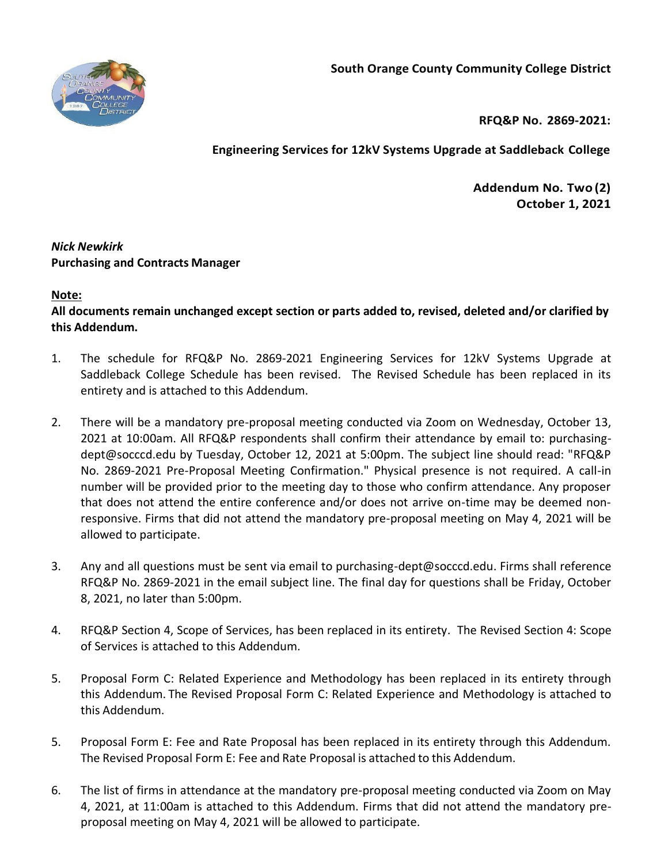**South Orange County Community College District**



**RFQ&P No. 2869-2021:**

**Engineering Services for 12kV Systems Upgrade at Saddleback College**

**Addendum No. Two (2) October 1, 2021**

## *Nick Newkirk* **Purchasing and Contracts Manager**

## **Note:**

**All documents remain unchanged except section or parts added to, revised, deleted and/or clarified by this Addendum.**

- 1. The schedule for RFQ&P No. 2869-2021 Engineering Services for 12kV Systems Upgrade at Saddleback College Schedule has been revised. The Revised Schedule has been replaced in its entirety and is attached to this Addendum.
- 2. There will be a mandatory pre-proposal meeting conducted via Zoom on Wednesday, October 13, 2021 at 10:00am. All RFQ&P respondents shall confirm their attendance by email to: purchasingdept@socccd.edu by Tuesday, October 12, 2021 at 5:00pm. The subject line should read: "RFQ&P No. 2869-2021 Pre-Proposal Meeting Confirmation." Physical presence is not required. A call-in number will be provided prior to the meeting day to those who confirm attendance. Any proposer that does not attend the entire conference and/or does not arrive on-time may be deemed nonresponsive. Firms that did not attend the mandatory pre-proposal meeting on May 4, 2021 will be allowed to participate.
- 3. Any and all questions must be sent via email to purchasing-dept@socccd.edu. Firms shall reference RFQ&P No. 2869-2021 in the email subject line. The final day for questions shall be Friday, October 8, 2021, no later than 5:00pm.
- 4. RFQ&P Section 4, Scope of Services, has been replaced in its entirety. The Revised Section 4: Scope of Services is attached to this Addendum.
- 5. Proposal Form C: Related Experience and Methodology has been replaced in its entirety through this Addendum. The Revised Proposal Form C: Related Experience and Methodology is attached to this Addendum.
- 5. Proposal Form E: Fee and Rate Proposal has been replaced in its entirety through this Addendum. The Revised Proposal Form E: Fee and Rate Proposal is attached to this Addendum.
- 6. The list of firms in attendance at the mandatory pre-proposal meeting conducted via Zoom on May 4, 2021, at 11:00am is attached to this Addendum. Firms that did not attend the mandatory preproposal meeting on May 4, 2021 will be allowed to participate.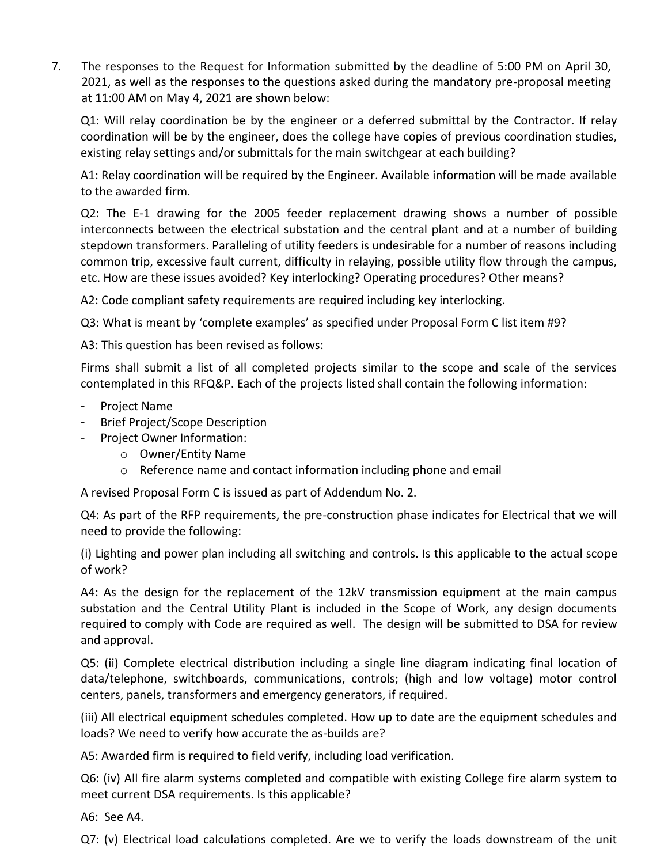7. The responses to the Request for Information submitted by the deadline of 5:00 PM on April 30, 2021, as well as the responses to the questions asked during the mandatory pre-proposal meeting at 11:00 AM on May 4, 2021 are shown below:

Q1: Will relay coordination be by the engineer or a deferred submittal by the Contractor. If relay coordination will be by the engineer, does the college have copies of previous coordination studies, existing relay settings and/or submittals for the main switchgear at each building?

A1: Relay coordination will be required by the Engineer. Available information will be made available to the awarded firm.

Q2: The E-1 drawing for the 2005 feeder replacement drawing shows a number of possible interconnects between the electrical substation and the central plant and at a number of building stepdown transformers. Paralleling of utility feeders is undesirable for a number of reasons including common trip, excessive fault current, difficulty in relaying, possible utility flow through the campus, etc. How are these issues avoided? Key interlocking? Operating procedures? Other means?

A2: Code compliant safety requirements are required including key interlocking.

Q3: What is meant by 'complete examples' as specified under Proposal Form C list item #9?

A3: This question has been revised as follows:

Firms shall submit a list of all completed projects similar to the scope and scale of the services contemplated in this RFQ&P. Each of the projects listed shall contain the following information:

- Project Name
- Brief Project/Scope Description
- Project Owner Information:
	- o Owner/Entity Name
	- o Reference name and contact information including phone and email

A revised Proposal Form C is issued as part of Addendum No. 2.

Q4: As part of the RFP requirements, the pre-construction phase indicates for Electrical that we will need to provide the following:

(i) Lighting and power plan including all switching and controls. Is this applicable to the actual scope of work?

A4: As the design for the replacement of the 12kV transmission equipment at the main campus substation and the Central Utility Plant is included in the Scope of Work, any design documents required to comply with Code are required as well. The design will be submitted to DSA for review and approval.

Q5: (ii) Complete electrical distribution including a single line diagram indicating final location of data/telephone, switchboards, communications, controls; (high and low voltage) motor control centers, panels, transformers and emergency generators, if required.

(iii) All electrical equipment schedules completed. How up to date are the equipment schedules and loads? We need to verify how accurate the as-builds are?

A5: Awarded firm is required to field verify, including load verification.

Q6: (iv) All fire alarm systems completed and compatible with existing College fire alarm system to meet current DSA requirements. Is this applicable?

A6: See A4.

Q7: (v) Electrical load calculations completed. Are we to verify the loads downstream of the unit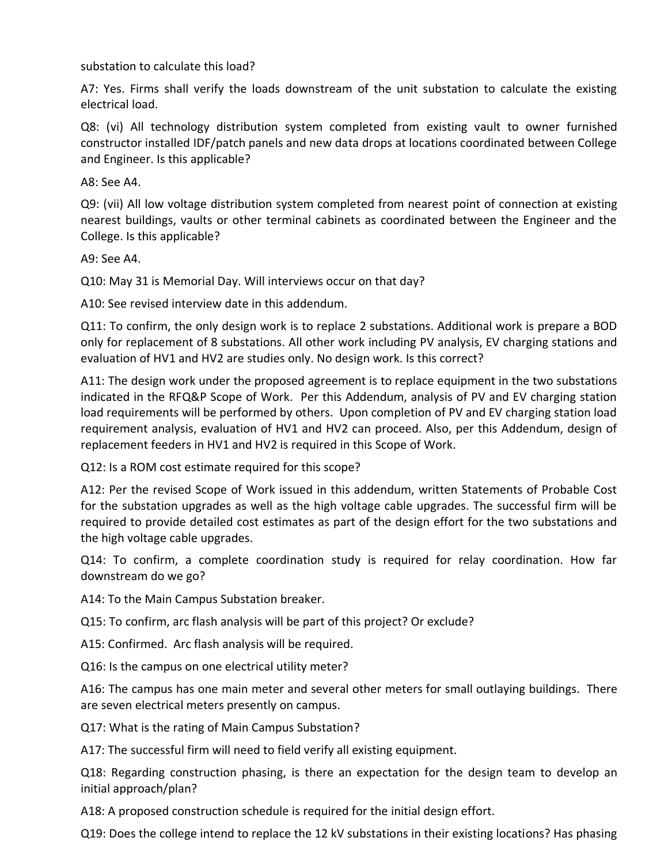substation to calculate this load?

A7: Yes. Firms shall verify the loads downstream of the unit substation to calculate the existing electrical load.

Q8: (vi) All technology distribution system completed from existing vault to owner furnished constructor installed IDF/patch panels and new data drops at locations coordinated between College and Engineer. Is this applicable?

A8: See A4.

Q9: (vii) All low voltage distribution system completed from nearest point of connection at existing nearest buildings, vaults or other terminal cabinets as coordinated between the Engineer and the College. Is this applicable?

A9: See A4.

Q10: May 31 is Memorial Day. Will interviews occur on that day?

A10: See revised interview date in this addendum.

Q11: To confirm, the only design work is to replace 2 substations. Additional work is prepare a BOD only for replacement of 8 substations. All other work including PV analysis, EV charging stations and evaluation of HV1 and HV2 are studies only. No design work. Is this correct?

A11: The design work under the proposed agreement is to replace equipment in the two substations indicated in the RFQ&P Scope of Work. Per this Addendum, analysis of PV and EV charging station load requirements will be performed by others. Upon completion of PV and EV charging station load requirement analysis, evaluation of HV1 and HV2 can proceed. Also, per this Addendum, design of replacement feeders in HV1 and HV2 is required in this Scope of Work.

Q12: Is a ROM cost estimate required for this scope?

A12: Per the revised Scope of Work issued in this addendum, written Statements of Probable Cost for the substation upgrades as well as the high voltage cable upgrades. The successful firm will be required to provide detailed cost estimates as part of the design effort for the two substations and the high voltage cable upgrades.

Q14: To confirm, a complete coordination study is required for relay coordination. How far downstream do we go?

A14: To the Main Campus Substation breaker.

Q15: To confirm, arc flash analysis will be part of this project? Or exclude?

A15: Confirmed. Arc flash analysis will be required.

Q16: Is the campus on one electrical utility meter?

A16: The campus has one main meter and several other meters for small outlaying buildings. There are seven electrical meters presently on campus.

Q17: What is the rating of Main Campus Substation?

A17: The successful firm will need to field verify all existing equipment.

Q18: Regarding construction phasing, is there an expectation for the design team to develop an initial approach/plan?

A18: A proposed construction schedule is required for the initial design effort.

Q19: Does the college intend to replace the 12 kV substations in their existing locations? Has phasing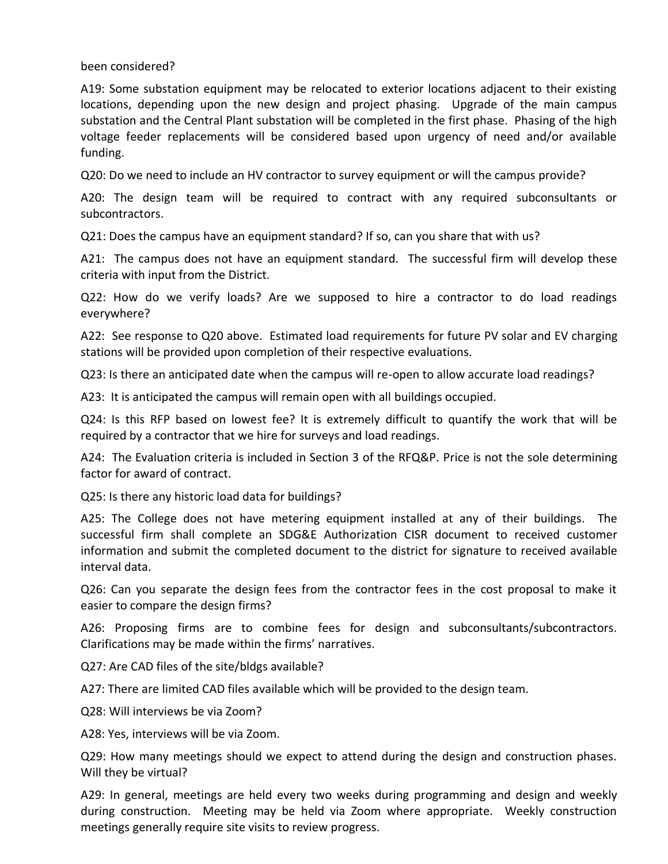been considered?

A19: Some substation equipment may be relocated to exterior locations adjacent to their existing locations, depending upon the new design and project phasing. Upgrade of the main campus substation and the Central Plant substation will be completed in the first phase. Phasing of the high voltage feeder replacements will be considered based upon urgency of need and/or available funding.

Q20: Do we need to include an HV contractor to survey equipment or will the campus provide?

A20: The design team will be required to contract with any required subconsultants or subcontractors.

Q21: Does the campus have an equipment standard? If so, can you share that with us?

A21: The campus does not have an equipment standard. The successful firm will develop these criteria with input from the District.

Q22: How do we verify loads? Are we supposed to hire a contractor to do load readings everywhere?

A22: See response to Q20 above. Estimated load requirements for future PV solar and EV charging stations will be provided upon completion of their respective evaluations.

Q23: Is there an anticipated date when the campus will re-open to allow accurate load readings?

A23: It is anticipated the campus will remain open with all buildings occupied.

Q24: Is this RFP based on lowest fee? It is extremely difficult to quantify the work that will be required by a contractor that we hire for surveys and load readings.

A24: The Evaluation criteria is included in Section 3 of the RFQ&P. Price is not the sole determining factor for award of contract.

Q25: Is there any historic load data for buildings?

A25: The College does not have metering equipment installed at any of their buildings. The successful firm shall complete an SDG&E Authorization CISR document to received customer information and submit the completed document to the district for signature to received available interval data.

Q26: Can you separate the design fees from the contractor fees in the cost proposal to make it easier to compare the design firms?

A26: Proposing firms are to combine fees for design and subconsultants/subcontractors. Clarifications may be made within the firms' narratives.

Q27: Are CAD files of the site/bldgs available?

A27: There are limited CAD files available which will be provided to the design team.

Q28: Will interviews be via Zoom?

A28: Yes, interviews will be via Zoom.

Q29: How many meetings should we expect to attend during the design and construction phases. Will they be virtual?

A29: In general, meetings are held every two weeks during programming and design and weekly during construction. Meeting may be held via Zoom where appropriate. Weekly construction meetings generally require site visits to review progress.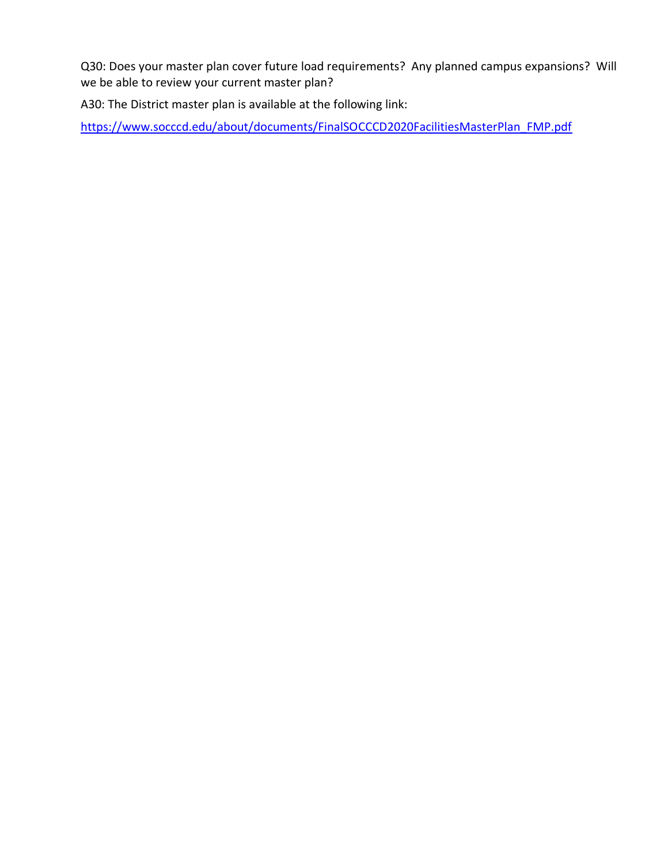Q30: Does your master plan cover future load requirements? Any planned campus expansions? Will we be able to review your current master plan?

A30: The District master plan is available at the following link:

[https://www.socccd.edu/about/documents/FinalSOCCCD2020FacilitiesMasterPlan\\_FMP.pdf](https://www.socccd.edu/about/documents/FinalSOCCCD2020FacilitiesMasterPlan_FMP.pdf)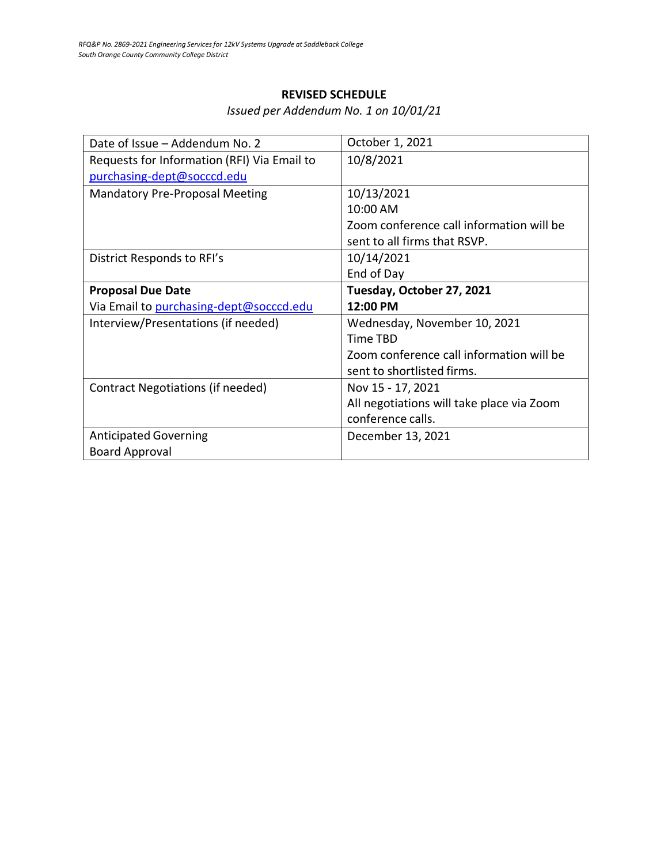## **REVISED SCHEDULE**

*Issued per Addendum No. 1 on 10/01/21*

| Date of Issue - Addendum No. 2              | October 1, 2021                           |
|---------------------------------------------|-------------------------------------------|
| Requests for Information (RFI) Via Email to | 10/8/2021                                 |
| purchasing-dept@socccd.edu                  |                                           |
| <b>Mandatory Pre-Proposal Meeting</b>       | 10/13/2021                                |
|                                             | 10:00 AM                                  |
|                                             | Zoom conference call information will be  |
|                                             | sent to all firms that RSVP.              |
| District Responds to RFI's                  | 10/14/2021                                |
|                                             | End of Day                                |
| <b>Proposal Due Date</b>                    | Tuesday, October 27, 2021                 |
|                                             |                                           |
| Via Email to purchasing-dept@socccd.edu     | 12:00 PM                                  |
| Interview/Presentations (if needed)         | Wednesday, November 10, 2021              |
|                                             | Time TBD                                  |
|                                             | Zoom conference call information will be  |
|                                             | sent to shortlisted firms.                |
| Contract Negotiations (if needed)           | Nov 15 - 17, 2021                         |
|                                             | All negotiations will take place via Zoom |
|                                             | conference calls.                         |
| <b>Anticipated Governing</b>                | December 13, 2021                         |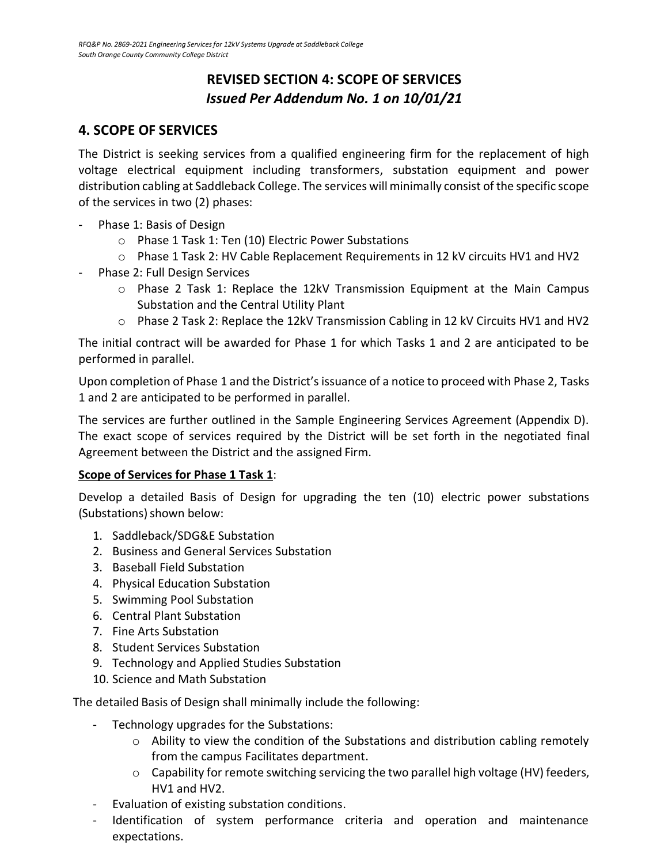## **REVISED SECTION 4: SCOPE OF SERVICES** *Issued Per Addendum No. 1 on 10/01/21*

## **4. SCOPE OF SERVICES**

The District is seeking services from a qualified engineering firm for the replacement of high voltage electrical equipment including transformers, substation equipment and power distribution cabling at Saddleback College. The services will minimally consist of the specific scope of the services in two (2) phases:

- Phase 1: Basis of Design
	- o Phase 1 Task 1: Ten (10) Electric Power Substations
	- o Phase 1 Task 2: HV Cable Replacement Requirements in 12 kV circuits HV1 and HV2
- Phase 2: Full Design Services
	- $\circ$  Phase 2 Task 1: Replace the 12kV Transmission Equipment at the Main Campus Substation and the Central Utility Plant
	- o Phase 2 Task 2: Replace the 12kV Transmission Cabling in 12 kV Circuits HV1 and HV2

The initial contract will be awarded for Phase 1 for which Tasks 1 and 2 are anticipated to be performed in parallel.

Upon completion of Phase 1 and the District's issuance of a notice to proceed with Phase 2, Tasks 1 and 2 are anticipated to be performed in parallel.

The services are further outlined in the Sample Engineering Services Agreement (Appendix D). The exact scope of services required by the District will be set forth in the negotiated final Agreement between the District and the assigned Firm.

## **Scope of Services for Phase 1 Task 1**:

Develop a detailed Basis of Design for upgrading the ten (10) electric power substations (Substations) shown below:

- 1. Saddleback/SDG&E Substation
- 2. Business and General Services Substation
- 3. Baseball Field Substation
- 4. Physical Education Substation
- 5. Swimming Pool Substation
- 6. Central Plant Substation
- 7. Fine Arts Substation
- 8. Student Services Substation
- 9. Technology and Applied Studies Substation
- 10. Science and Math Substation

The detailed Basis of Design shall minimally include the following:

- Technology upgrades for the Substations:
	- $\circ$  Ability to view the condition of the Substations and distribution cabling remotely from the campus Facilitates department.
	- o Capability for remote switching servicing the two parallel high voltage (HV) feeders, HV1 and HV2.
- Evaluation of existing substation conditions.
- Identification of system performance criteria and operation and maintenance expectations.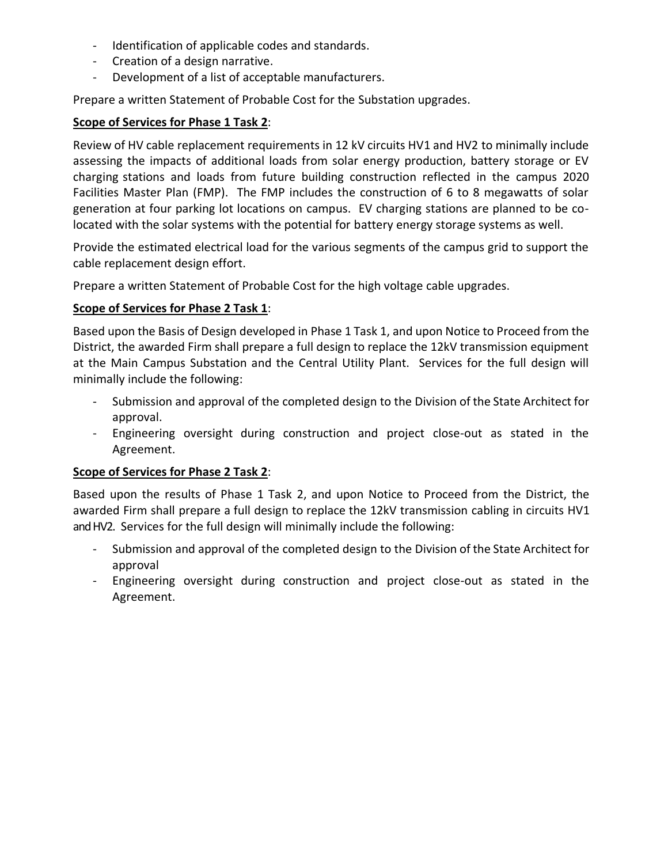- Identification of applicable codes and standards.
- Creation of a design narrative.
- Development of a list of acceptable manufacturers.

Prepare a written Statement of Probable Cost for the Substation upgrades.

## **Scope of Services for Phase 1 Task 2**:

Review of HV cable replacement requirements in 12 kV circuits HV1 and HV2 to minimally include assessing the impacts of additional loads from solar energy production, battery storage or EV charging stations and loads from future building construction reflected in the campus 2020 Facilities Master Plan (FMP). The FMP includes the construction of 6 to 8 megawatts of solar generation at four parking lot locations on campus. EV charging stations are planned to be colocated with the solar systems with the potential for battery energy storage systems as well.

Provide the estimated electrical load for the various segments of the campus grid to support the cable replacement design effort.

Prepare a written Statement of Probable Cost for the high voltage cable upgrades.

## **Scope of Services for Phase 2 Task 1**:

Based upon the Basis of Design developed in Phase 1 Task 1, and upon Notice to Proceed from the District, the awarded Firm shall prepare a full design to replace the 12kV transmission equipment at the Main Campus Substation and the Central Utility Plant. Services for the full design will minimally include the following:

- Submission and approval of the completed design to the Division of the State Architect for approval.
- Engineering oversight during construction and project close-out as stated in the Agreement.

## **Scope of Services for Phase 2 Task 2**:

Based upon the results of Phase 1 Task 2, and upon Notice to Proceed from the District, the awarded Firm shall prepare a full design to replace the 12kV transmission cabling in circuits HV1 and HV2. Services for the full design will minimally include the following:

- Submission and approval of the completed design to the Division of the State Architect for approval
- Engineering oversight during construction and project close-out as stated in the Agreement.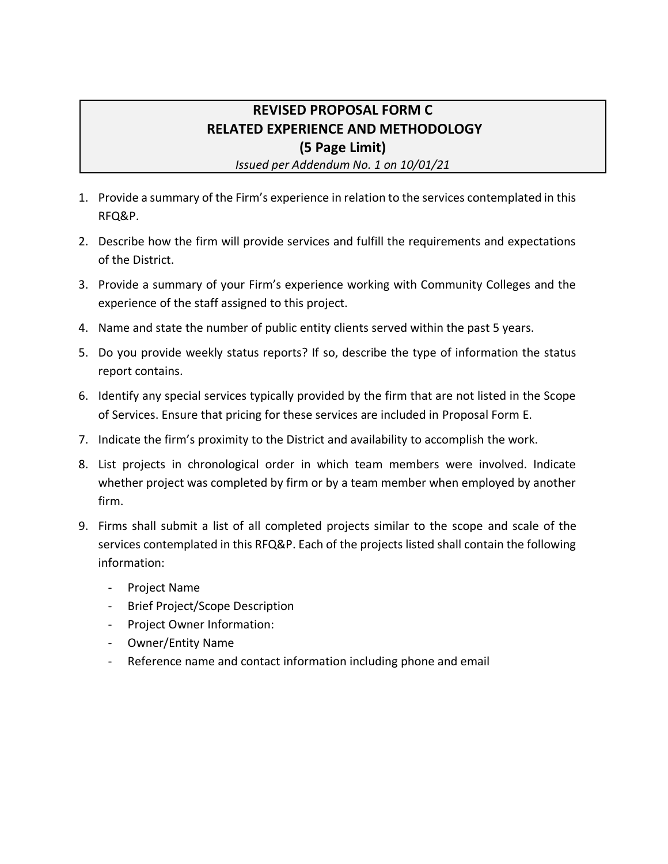# **REVISED PROPOSAL FORM C RELATED EXPERIENCE AND METHODOLOGY (5 Page Limit)**

*Issued per Addendum No. 1 on 10/01/21*

- 1. Provide a summary of the Firm's experience in relation to the services contemplated in this RFQ&P.
- 2. Describe how the firm will provide services and fulfill the requirements and expectations of the District.
- 3. Provide a summary of your Firm's experience working with Community Colleges and the experience of the staff assigned to this project.
- 4. Name and state the number of public entity clients served within the past 5 years.
- 5. Do you provide weekly status reports? If so, describe the type of information the status report contains.
- 6. Identify any special services typically provided by the firm that are not listed in the Scope of Services. Ensure that pricing for these services are included in Proposal Form E.
- 7. Indicate the firm's proximity to the District and availability to accomplish the work.
- 8. List projects in chronological order in which team members were involved. Indicate whether project was completed by firm or by a team member when employed by another firm.
- 9. Firms shall submit a list of all completed projects similar to the scope and scale of the services contemplated in this RFQ&P. Each of the projects listed shall contain the following information:
	- Project Name
	- Brief Project/Scope Description
	- Project Owner Information:
	- Owner/Entity Name
	- Reference name and contact information including phone and email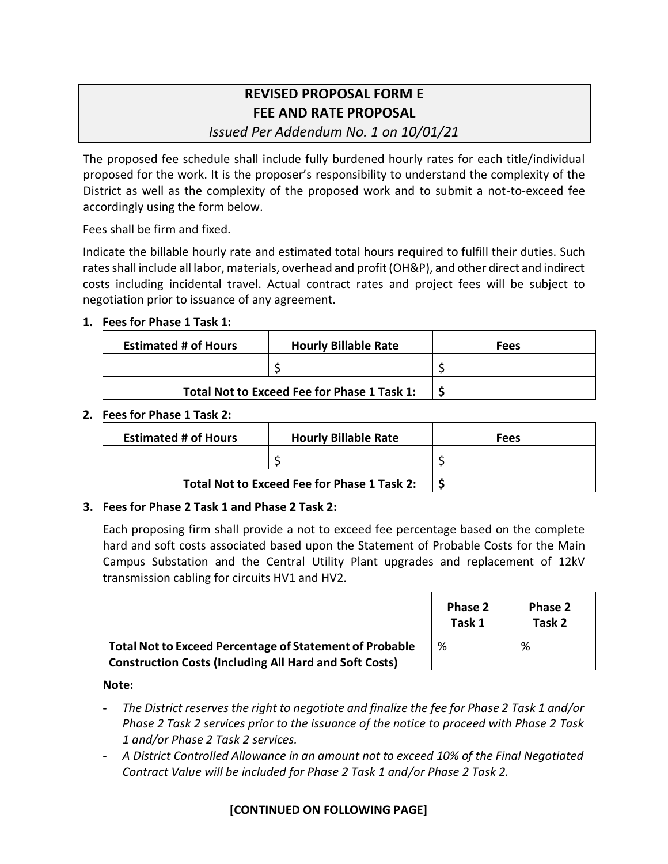# **REVISED PROPOSAL FORM E FEE AND RATE PROPOSAL**

*Issued Per Addendum No. 1 on 10/01/21*

The proposed fee schedule shall include fully burdened hourly rates for each title/individual proposed for the work. It is the proposer's responsibility to understand the complexity of the District as well as the complexity of the proposed work and to submit a not-to-exceed fee accordingly using the form below.

Fees shall be firm and fixed.

Indicate the billable hourly rate and estimated total hours required to fulfill their duties. Such rates shall include all labor, materials, overhead and profit (OH&P), and other direct and indirect costs including incidental travel. Actual contract rates and project fees will be subject to negotiation prior to issuance of any agreement.

## **1. Fees for Phase 1 Task 1:**

| <b>Estimated # of Hours</b>                 | <b>Hourly Billable Rate</b> | Fees |
|---------------------------------------------|-----------------------------|------|
|                                             |                             |      |
| Total Not to Exceed Fee for Phase 1 Task 1: |                             |      |

#### **2. Fees for Phase 1 Task 2:**

| <b>Estimated # of Hours</b>                 | <b>Hourly Billable Rate</b> | Fees |
|---------------------------------------------|-----------------------------|------|
|                                             |                             |      |
| Total Not to Exceed Fee for Phase 1 Task 2: |                             |      |

## **3. Fees for Phase 2 Task 1 and Phase 2 Task 2:**

Each proposing firm shall provide a not to exceed fee percentage based on the complete hard and soft costs associated based upon the Statement of Probable Costs for the Main Campus Substation and the Central Utility Plant upgrades and replacement of 12kV transmission cabling for circuits HV1 and HV2.

|                                                                                                                                 | Phase 2<br>Task 1 | Phase 2<br>Task 2 |
|---------------------------------------------------------------------------------------------------------------------------------|-------------------|-------------------|
| <b>Total Not to Exceed Percentage of Statement of Probable</b><br><b>Construction Costs (Including All Hard and Soft Costs)</b> | %                 | %                 |

#### **Note:**

- **-** *The District reserves the right to negotiate and finalize the fee for Phase 2 Task 1 and/or Phase 2 Task 2 services prior to the issuance of the notice to proceed with Phase 2 Task 1 and/or Phase 2 Task 2 services.*
- **-** *A District Controlled Allowance in an amount not to exceed 10% of the Final Negotiated Contract Value will be included for Phase 2 Task 1 and/or Phase 2 Task 2.*